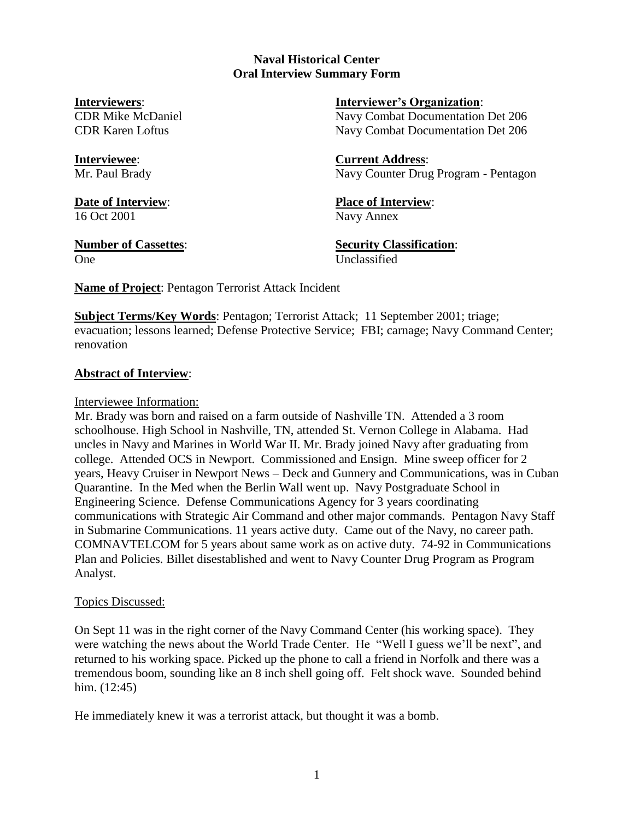#### **Naval Historical Center Oral Interview Summary Form**

**Interviewers**: **Interviewer's Organization**: CDR Mike McDaniel Navy Combat Documentation Det 206

CDR Karen Loftus Navy Combat Documentation Det 206

**Interviewee**: **Current Address**: Mr. Paul Brady Navy Counter Drug Program - Pentagon

**Date of Interview**: **Place of Interview**: 16 Oct 2001 Navy Annex

One Unclassified

**Number of Cassettes**: **Security Classification**:

**Name of Project**: Pentagon Terrorist Attack Incident

**Subject Terms/Key Words**: Pentagon; Terrorist Attack; 11 September 2001; triage; evacuation; lessons learned; Defense Protective Service; FBI; carnage; Navy Command Center; renovation

# **Abstract of Interview**:

# Interviewee Information:

Mr. Brady was born and raised on a farm outside of Nashville TN. Attended a 3 room schoolhouse. High School in Nashville, TN, attended St. Vernon College in Alabama. Had uncles in Navy and Marines in World War II. Mr. Brady joined Navy after graduating from college. Attended OCS in Newport. Commissioned and Ensign. Mine sweep officer for 2 years, Heavy Cruiser in Newport News – Deck and Gunnery and Communications, was in Cuban Quarantine. In the Med when the Berlin Wall went up. Navy Postgraduate School in Engineering Science. Defense Communications Agency for 3 years coordinating communications with Strategic Air Command and other major commands. Pentagon Navy Staff in Submarine Communications. 11 years active duty. Came out of the Navy, no career path. COMNAVTELCOM for 5 years about same work as on active duty. 74-92 in Communications Plan and Policies. Billet disestablished and went to Navy Counter Drug Program as Program Analyst.

# Topics Discussed:

On Sept 11 was in the right corner of the Navy Command Center (his working space). They were watching the news about the World Trade Center. He "Well I guess we'll be next", and returned to his working space. Picked up the phone to call a friend in Norfolk and there was a tremendous boom, sounding like an 8 inch shell going off. Felt shock wave. Sounded behind him. (12:45)

He immediately knew it was a terrorist attack, but thought it was a bomb.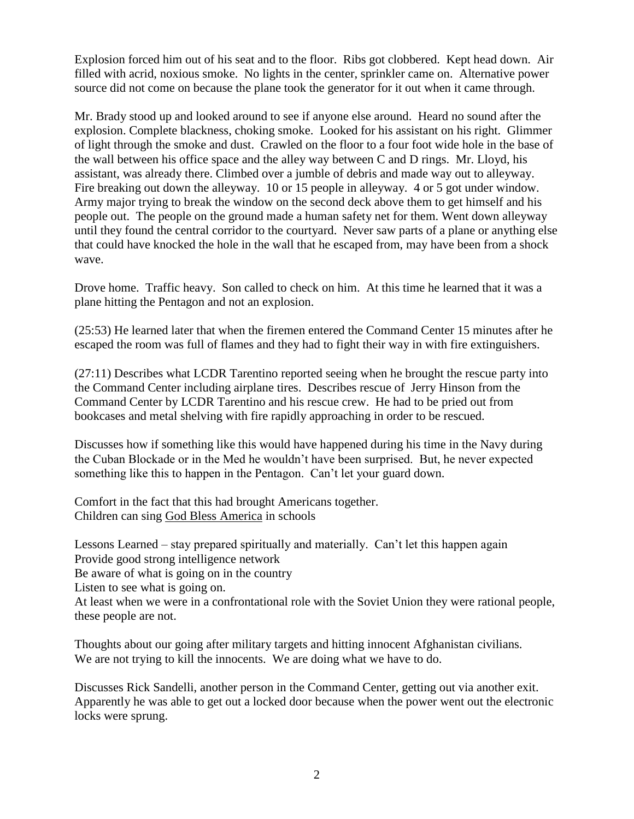Explosion forced him out of his seat and to the floor. Ribs got clobbered. Kept head down. Air filled with acrid, noxious smoke. No lights in the center, sprinkler came on. Alternative power source did not come on because the plane took the generator for it out when it came through.

Mr. Brady stood up and looked around to see if anyone else around. Heard no sound after the explosion. Complete blackness, choking smoke. Looked for his assistant on his right. Glimmer of light through the smoke and dust. Crawled on the floor to a four foot wide hole in the base of the wall between his office space and the alley way between C and D rings. Mr. Lloyd, his assistant, was already there. Climbed over a jumble of debris and made way out to alleyway. Fire breaking out down the alleyway. 10 or 15 people in alleyway. 4 or 5 got under window. Army major trying to break the window on the second deck above them to get himself and his people out. The people on the ground made a human safety net for them. Went down alleyway until they found the central corridor to the courtyard. Never saw parts of a plane or anything else that could have knocked the hole in the wall that he escaped from, may have been from a shock wave.

Drove home. Traffic heavy. Son called to check on him. At this time he learned that it was a plane hitting the Pentagon and not an explosion.

(25:53) He learned later that when the firemen entered the Command Center 15 minutes after he escaped the room was full of flames and they had to fight their way in with fire extinguishers.

(27:11) Describes what LCDR Tarentino reported seeing when he brought the rescue party into the Command Center including airplane tires. Describes rescue of Jerry Hinson from the Command Center by LCDR Tarentino and his rescue crew. He had to be pried out from bookcases and metal shelving with fire rapidly approaching in order to be rescued.

Discusses how if something like this would have happened during his time in the Navy during the Cuban Blockade or in the Med he wouldn't have been surprised. But, he never expected something like this to happen in the Pentagon. Can't let your guard down.

Comfort in the fact that this had brought Americans together. Children can sing God Bless America in schools

Lessons Learned – stay prepared spiritually and materially. Can't let this happen again Provide good strong intelligence network

Be aware of what is going on in the country

Listen to see what is going on.

At least when we were in a confrontational role with the Soviet Union they were rational people, these people are not.

Thoughts about our going after military targets and hitting innocent Afghanistan civilians. We are not trying to kill the innocents. We are doing what we have to do.

Discusses Rick Sandelli, another person in the Command Center, getting out via another exit. Apparently he was able to get out a locked door because when the power went out the electronic locks were sprung.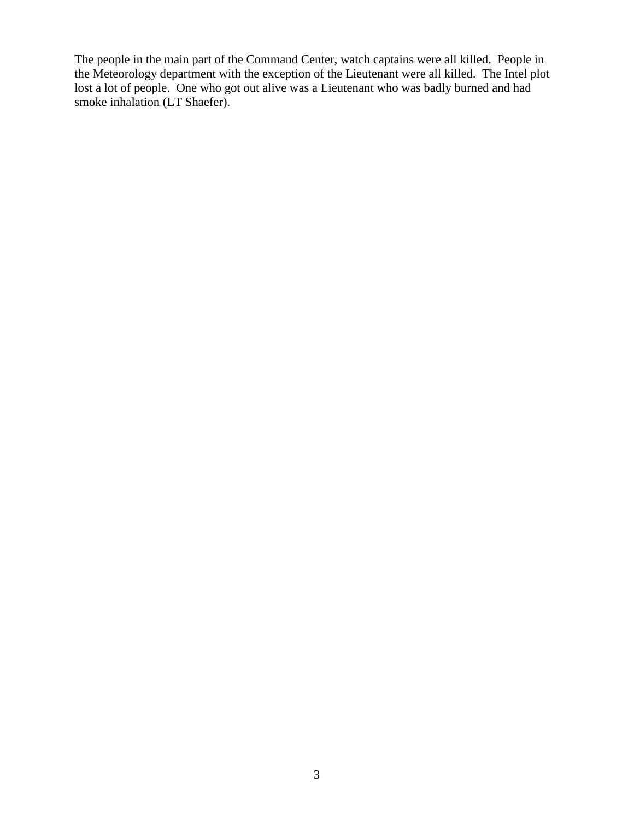The people in the main part of the Command Center, watch captains were all killed. People in the Meteorology department with the exception of the Lieutenant were all killed. The Intel plot lost a lot of people. One who got out alive was a Lieutenant who was badly burned and had smoke inhalation (LT Shaefer).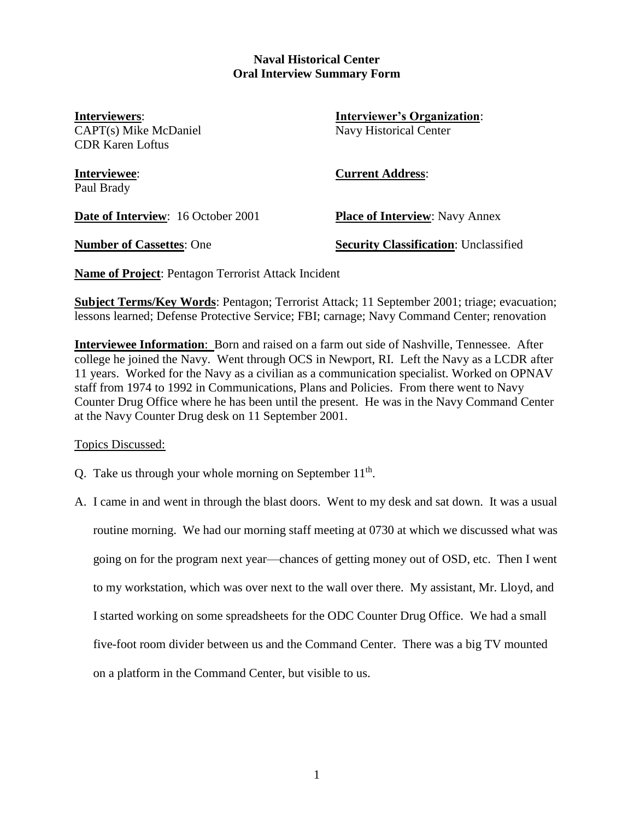#### **Naval Historical Center Oral Interview Summary Form**

CAPT(s) Mike McDaniel Navy Historical Center CDR Karen Loftus

**Interviewers**: **Interviewer's Organization**:

Paul Brady

**Interviewee**: **Current Address**:

**Date of Interview:** 16 October 2001 **Place of Interview**: Navy Annex

**Number of Cassettes**: One **Security Classification**: Unclassified

**Name of Project**: Pentagon Terrorist Attack Incident

**Subject Terms/Key Words**: Pentagon; Terrorist Attack; 11 September 2001; triage; evacuation; lessons learned; Defense Protective Service; FBI; carnage; Navy Command Center; renovation

**Interviewee Information**: Born and raised on a farm out side of Nashville, Tennessee. After college he joined the Navy. Went through OCS in Newport, RI. Left the Navy as a LCDR after 11 years. Worked for the Navy as a civilian as a communication specialist. Worked on OPNAV staff from 1974 to 1992 in Communications, Plans and Policies. From there went to Navy Counter Drug Office where he has been until the present. He was in the Navy Command Center at the Navy Counter Drug desk on 11 September 2001.

Topics Discussed:

- Q. Take us through your whole morning on September  $11<sup>th</sup>$ .
- A. I came in and went in through the blast doors. Went to my desk and sat down. It was a usual routine morning. We had our morning staff meeting at 0730 at which we discussed what was going on for the program next year—chances of getting money out of OSD, etc. Then I went to my workstation, which was over next to the wall over there. My assistant, Mr. Lloyd, and I started working on some spreadsheets for the ODC Counter Drug Office. We had a small five-foot room divider between us and the Command Center. There was a big TV mounted on a platform in the Command Center, but visible to us.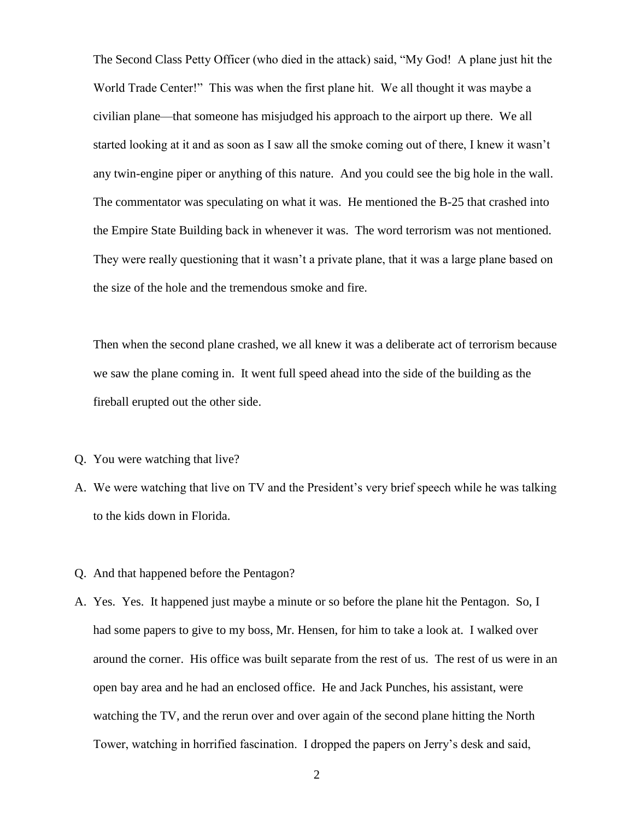The Second Class Petty Officer (who died in the attack) said, "My God! A plane just hit the World Trade Center!" This was when the first plane hit. We all thought it was maybe a civilian plane—that someone has misjudged his approach to the airport up there. We all started looking at it and as soon as I saw all the smoke coming out of there, I knew it wasn't any twin-engine piper or anything of this nature. And you could see the big hole in the wall. The commentator was speculating on what it was. He mentioned the B-25 that crashed into the Empire State Building back in whenever it was. The word terrorism was not mentioned. They were really questioning that it wasn't a private plane, that it was a large plane based on the size of the hole and the tremendous smoke and fire.

Then when the second plane crashed, we all knew it was a deliberate act of terrorism because we saw the plane coming in. It went full speed ahead into the side of the building as the fireball erupted out the other side.

- Q. You were watching that live?
- A. We were watching that live on TV and the President's very brief speech while he was talking to the kids down in Florida.
- Q. And that happened before the Pentagon?
- A. Yes. Yes. It happened just maybe a minute or so before the plane hit the Pentagon. So, I had some papers to give to my boss, Mr. Hensen, for him to take a look at. I walked over around the corner. His office was built separate from the rest of us. The rest of us were in an open bay area and he had an enclosed office. He and Jack Punches, his assistant, were watching the TV, and the rerun over and over again of the second plane hitting the North Tower, watching in horrified fascination. I dropped the papers on Jerry's desk and said,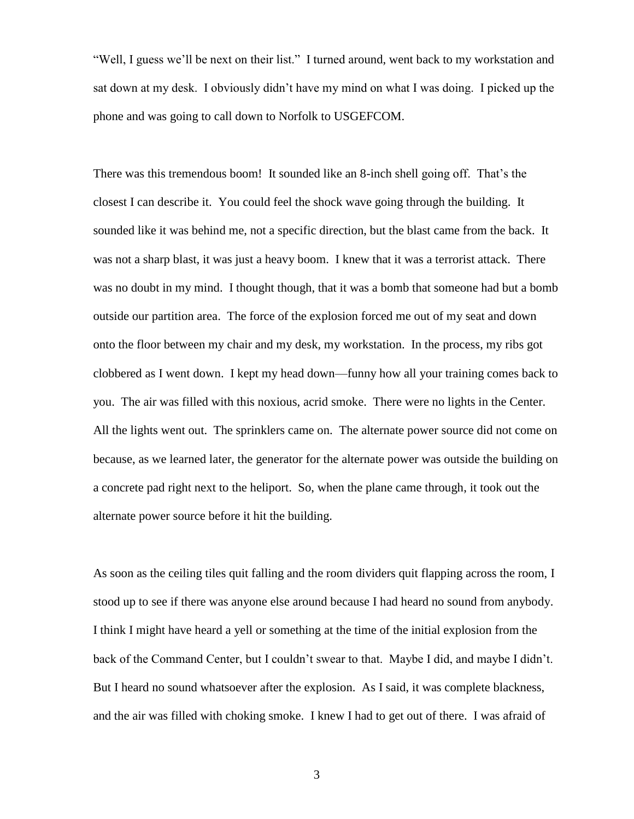"Well, I guess we'll be next on their list." I turned around, went back to my workstation and sat down at my desk. I obviously didn't have my mind on what I was doing. I picked up the phone and was going to call down to Norfolk to USGEFCOM.

There was this tremendous boom! It sounded like an 8-inch shell going off. That's the closest I can describe it. You could feel the shock wave going through the building. It sounded like it was behind me, not a specific direction, but the blast came from the back. It was not a sharp blast, it was just a heavy boom. I knew that it was a terrorist attack. There was no doubt in my mind. I thought though, that it was a bomb that someone had but a bomb outside our partition area. The force of the explosion forced me out of my seat and down onto the floor between my chair and my desk, my workstation. In the process, my ribs got clobbered as I went down. I kept my head down—funny how all your training comes back to you. The air was filled with this noxious, acrid smoke. There were no lights in the Center. All the lights went out. The sprinklers came on. The alternate power source did not come on because, as we learned later, the generator for the alternate power was outside the building on a concrete pad right next to the heliport. So, when the plane came through, it took out the alternate power source before it hit the building.

As soon as the ceiling tiles quit falling and the room dividers quit flapping across the room, I stood up to see if there was anyone else around because I had heard no sound from anybody. I think I might have heard a yell or something at the time of the initial explosion from the back of the Command Center, but I couldn't swear to that. Maybe I did, and maybe I didn't. But I heard no sound whatsoever after the explosion. As I said, it was complete blackness, and the air was filled with choking smoke. I knew I had to get out of there. I was afraid of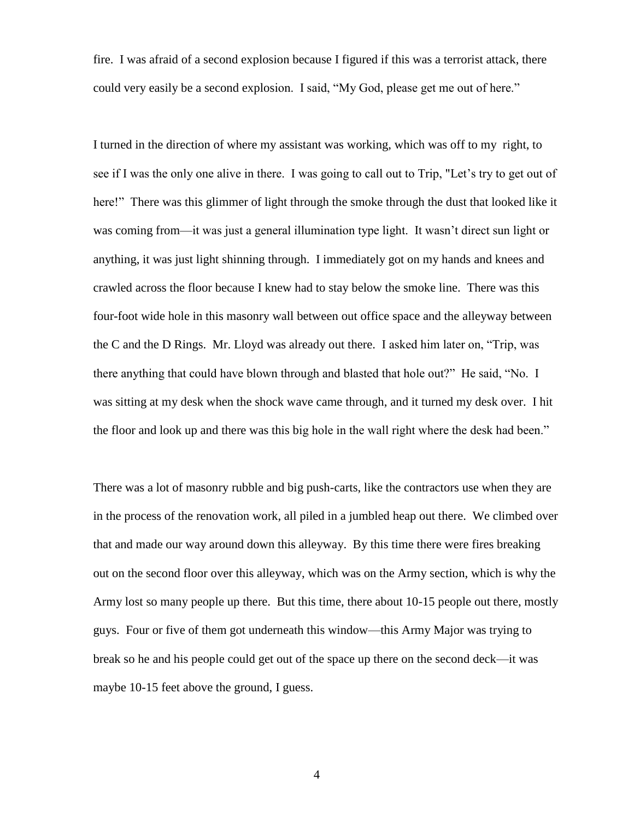fire. I was afraid of a second explosion because I figured if this was a terrorist attack, there could very easily be a second explosion. I said, "My God, please get me out of here."

I turned in the direction of where my assistant was working, which was off to my right, to see if I was the only one alive in there. I was going to call out to Trip, "Let's try to get out of here!" There was this glimmer of light through the smoke through the dust that looked like it was coming from—it was just a general illumination type light. It wasn't direct sun light or anything, it was just light shinning through. I immediately got on my hands and knees and crawled across the floor because I knew had to stay below the smoke line. There was this four-foot wide hole in this masonry wall between out office space and the alleyway between the C and the D Rings. Mr. Lloyd was already out there. I asked him later on, "Trip, was there anything that could have blown through and blasted that hole out?" He said, "No. I was sitting at my desk when the shock wave came through, and it turned my desk over. I hit the floor and look up and there was this big hole in the wall right where the desk had been."

There was a lot of masonry rubble and big push-carts, like the contractors use when they are in the process of the renovation work, all piled in a jumbled heap out there. We climbed over that and made our way around down this alleyway. By this time there were fires breaking out on the second floor over this alleyway, which was on the Army section, which is why the Army lost so many people up there. But this time, there about 10-15 people out there, mostly guys. Four or five of them got underneath this window—this Army Major was trying to break so he and his people could get out of the space up there on the second deck—it was maybe 10-15 feet above the ground, I guess.

4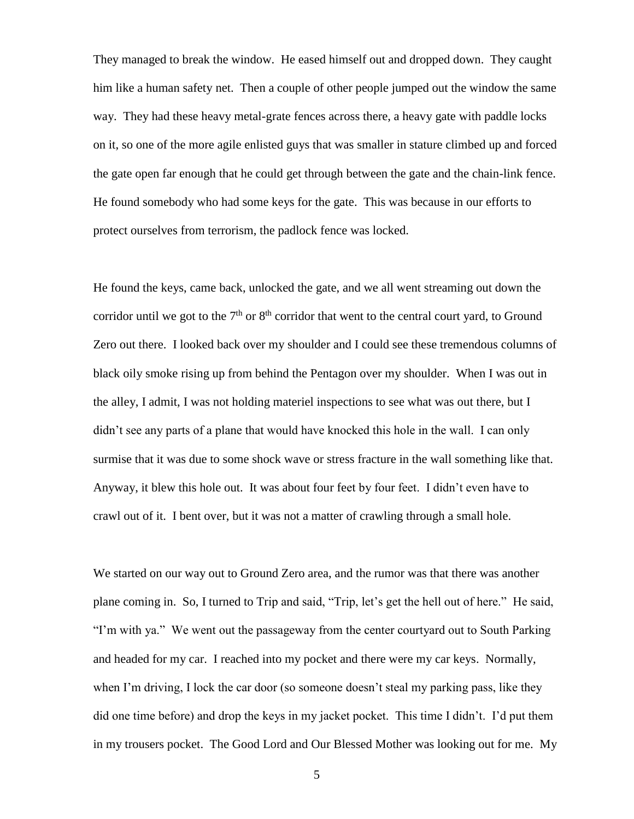They managed to break the window. He eased himself out and dropped down. They caught him like a human safety net. Then a couple of other people jumped out the window the same way. They had these heavy metal-grate fences across there, a heavy gate with paddle locks on it, so one of the more agile enlisted guys that was smaller in stature climbed up and forced the gate open far enough that he could get through between the gate and the chain-link fence. He found somebody who had some keys for the gate. This was because in our efforts to protect ourselves from terrorism, the padlock fence was locked.

He found the keys, came back, unlocked the gate, and we all went streaming out down the corridor until we got to the  $7<sup>th</sup>$  or  $8<sup>th</sup>$  corridor that went to the central court yard, to Ground Zero out there. I looked back over my shoulder and I could see these tremendous columns of black oily smoke rising up from behind the Pentagon over my shoulder. When I was out in the alley, I admit, I was not holding materiel inspections to see what was out there, but I didn't see any parts of a plane that would have knocked this hole in the wall. I can only surmise that it was due to some shock wave or stress fracture in the wall something like that. Anyway, it blew this hole out. It was about four feet by four feet. I didn't even have to crawl out of it. I bent over, but it was not a matter of crawling through a small hole.

We started on our way out to Ground Zero area, and the rumor was that there was another plane coming in. So, I turned to Trip and said, "Trip, let's get the hell out of here." He said, "I'm with ya." We went out the passageway from the center courtyard out to South Parking and headed for my car. I reached into my pocket and there were my car keys. Normally, when I'm driving, I lock the car door (so someone doesn't steal my parking pass, like they did one time before) and drop the keys in my jacket pocket. This time I didn't. I'd put them in my trousers pocket. The Good Lord and Our Blessed Mother was looking out for me. My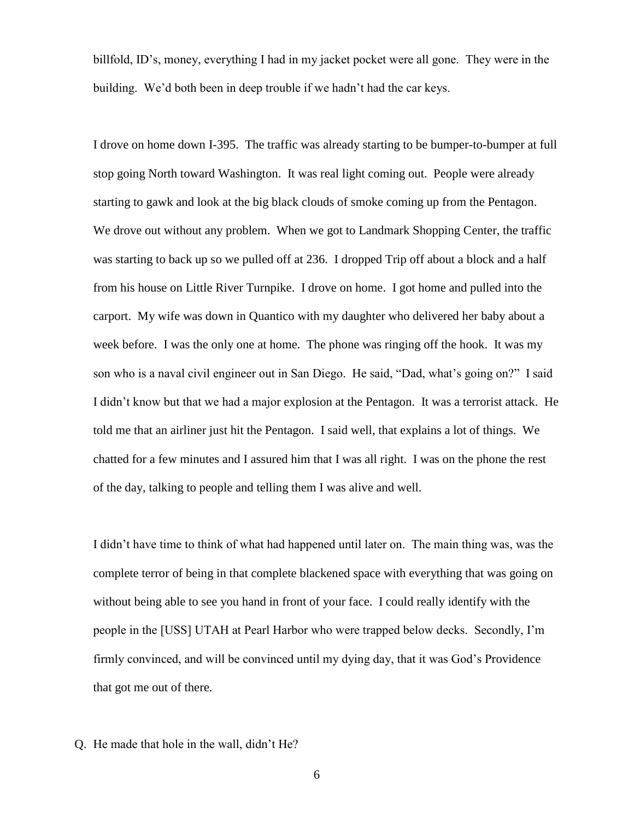billfold, ID's, money, everything I had in my jacket pocket were all gone. They were in the building. We'd both been in deep trouble if we hadn't had the car keys.

I drove on home down I-395. The traffic was already starting to be bumper-to-bumper at full stop going North toward Washington. It was real light coming out. People were already starting to gawk and look at the big black clouds of smoke coming up from the Pentagon. We drove out without any problem. When we got to Landmark Shopping Center, the traffic was starting to back up so we pulled off at 236. I dropped Trip off about a block and a half from his house on Little River Turnpike. I drove on home. I got home and pulled into the carport. My wife was down in Quantico with my daughter who delivered her baby about a week before. I was the only one at home. The phone was ringing off the hook. It was my son who is a naval civil engineer out in San Diego. He said, "Dad, what's going on?" I said I didn't know but that we had a major explosion at the Pentagon. It was a terrorist attack. He told me that an airliner just hit the Pentagon. I said well, that explains a lot of things. We chatted for a few minutes and I assured him that I was all right. I was on the phone the rest of the day, talking to people and telling them I was alive and well.

I didn't have time to think of what had happened until later on. The main thing was, was the complete terror of being in that complete blackened space with everything that was going on without being able to see you hand in front of your face. I could really identify with the people in the [USS] UTAH at Pearl Harbor who were trapped below decks. Secondly, I'm firmly convinced, and will be convinced until my dying day, that it was God's Providence that got me out of there.

Q. He made that hole in the wall, didn't He?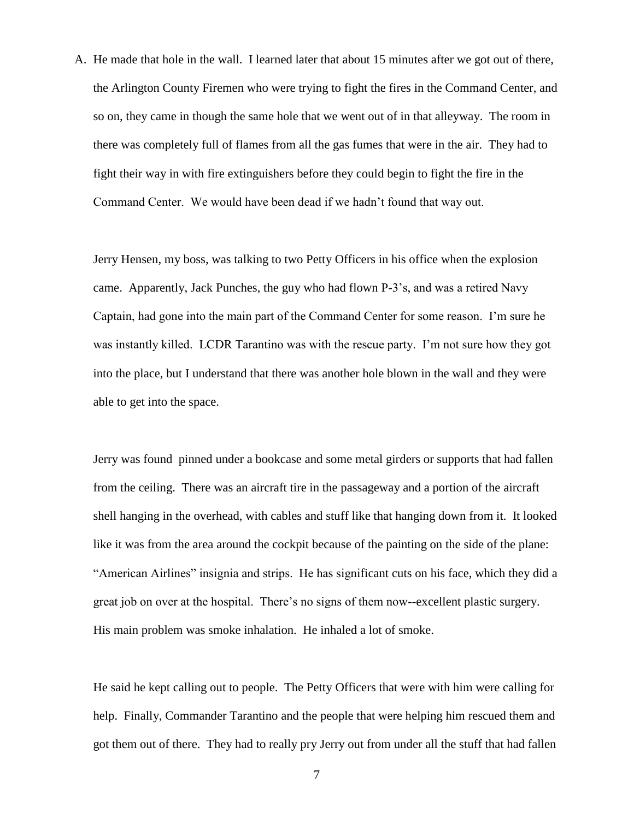A. He made that hole in the wall. I learned later that about 15 minutes after we got out of there, the Arlington County Firemen who were trying to fight the fires in the Command Center, and so on, they came in though the same hole that we went out of in that alleyway. The room in there was completely full of flames from all the gas fumes that were in the air. They had to fight their way in with fire extinguishers before they could begin to fight the fire in the Command Center. We would have been dead if we hadn't found that way out.

Jerry Hensen, my boss, was talking to two Petty Officers in his office when the explosion came. Apparently, Jack Punches, the guy who had flown P-3's, and was a retired Navy Captain, had gone into the main part of the Command Center for some reason. I'm sure he was instantly killed. LCDR Tarantino was with the rescue party. I'm not sure how they got into the place, but I understand that there was another hole blown in the wall and they were able to get into the space.

Jerry was found pinned under a bookcase and some metal girders or supports that had fallen from the ceiling. There was an aircraft tire in the passageway and a portion of the aircraft shell hanging in the overhead, with cables and stuff like that hanging down from it. It looked like it was from the area around the cockpit because of the painting on the side of the plane: "American Airlines" insignia and strips. He has significant cuts on his face, which they did a great job on over at the hospital. There's no signs of them now--excellent plastic surgery. His main problem was smoke inhalation. He inhaled a lot of smoke.

He said he kept calling out to people. The Petty Officers that were with him were calling for help. Finally, Commander Tarantino and the people that were helping him rescued them and got them out of there. They had to really pry Jerry out from under all the stuff that had fallen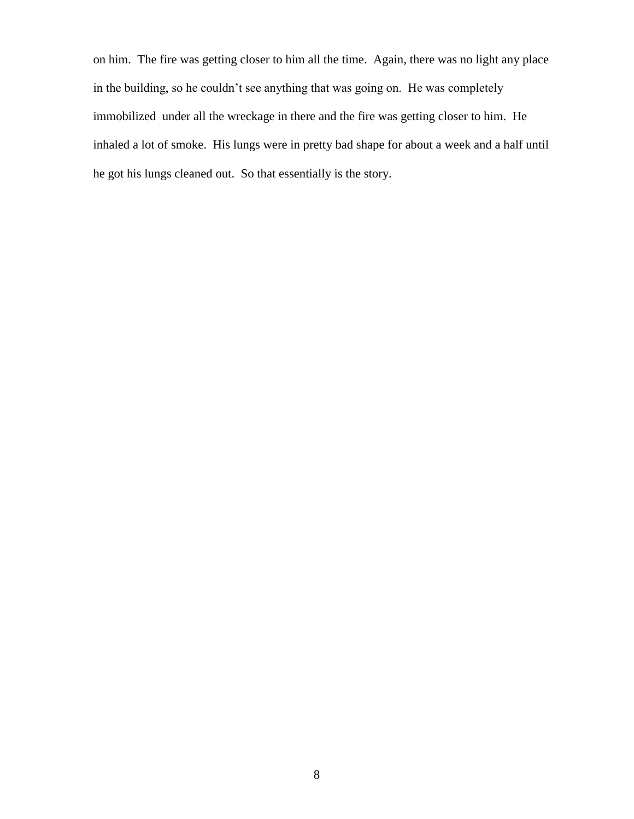on him. The fire was getting closer to him all the time. Again, there was no light any place in the building, so he couldn't see anything that was going on. He was completely immobilized under all the wreckage in there and the fire was getting closer to him. He inhaled a lot of smoke. His lungs were in pretty bad shape for about a week and a half until he got his lungs cleaned out. So that essentially is the story.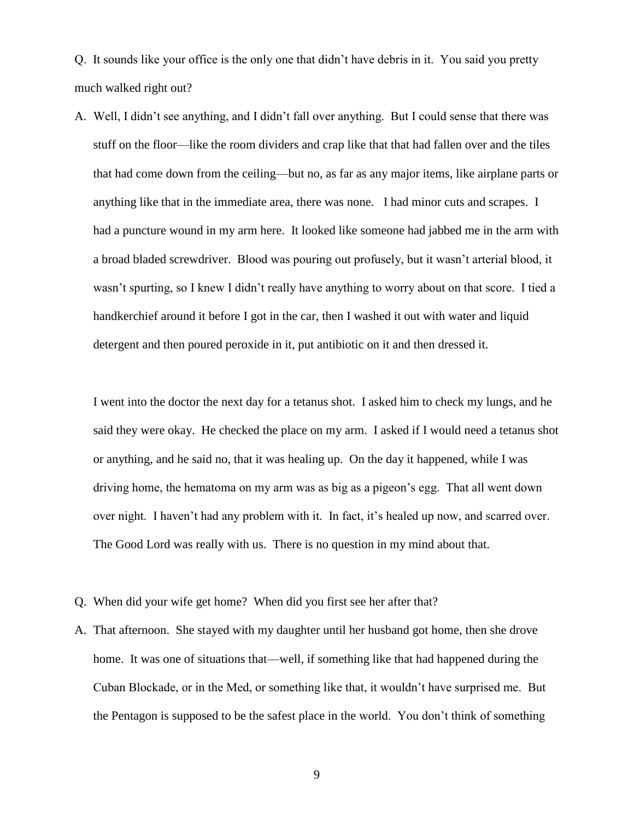Q. It sounds like your office is the only one that didn't have debris in it. You said you pretty much walked right out?

A. Well, I didn't see anything, and I didn't fall over anything. But I could sense that there was stuff on the floor—like the room dividers and crap like that that had fallen over and the tiles that had come down from the ceiling—but no, as far as any major items, like airplane parts or anything like that in the immediate area, there was none. I had minor cuts and scrapes. I had a puncture wound in my arm here. It looked like someone had jabbed me in the arm with a broad bladed screwdriver. Blood was pouring out profusely, but it wasn't arterial blood, it wasn't spurting, so I knew I didn't really have anything to worry about on that score. I tied a handkerchief around it before I got in the car, then I washed it out with water and liquid detergent and then poured peroxide in it, put antibiotic on it and then dressed it.

I went into the doctor the next day for a tetanus shot. I asked him to check my lungs, and he said they were okay. He checked the place on my arm. I asked if I would need a tetanus shot or anything, and he said no, that it was healing up. On the day it happened, while I was driving home, the hematoma on my arm was as big as a pigeon's egg. That all went down over night. I haven't had any problem with it. In fact, it's healed up now, and scarred over. The Good Lord was really with us. There is no question in my mind about that.

- Q. When did your wife get home? When did you first see her after that?
- A. That afternoon. She stayed with my daughter until her husband got home, then she drove home. It was one of situations that—well, if something like that had happened during the Cuban Blockade, or in the Med, or something like that, it wouldn't have surprised me. But the Pentagon is supposed to be the safest place in the world. You don't think of something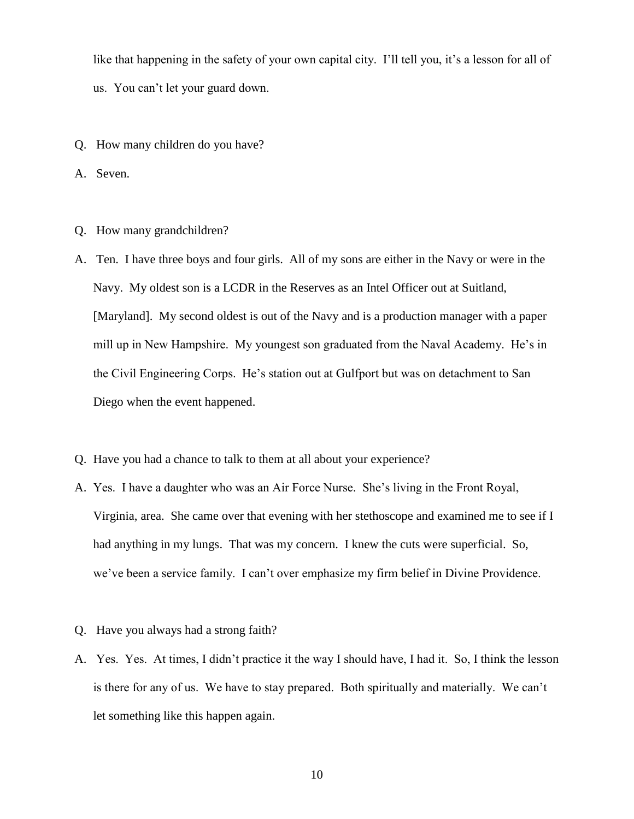like that happening in the safety of your own capital city. I'll tell you, it's a lesson for all of us. You can't let your guard down.

Q. How many children do you have?

A. Seven.

- Q. How many grandchildren?
- A. Ten. I have three boys and four girls. All of my sons are either in the Navy or were in the Navy. My oldest son is a LCDR in the Reserves as an Intel Officer out at Suitland, [Maryland]. My second oldest is out of the Navy and is a production manager with a paper mill up in New Hampshire. My youngest son graduated from the Naval Academy. He's in the Civil Engineering Corps. He's station out at Gulfport but was on detachment to San Diego when the event happened.
- Q. Have you had a chance to talk to them at all about your experience?
- A. Yes. I have a daughter who was an Air Force Nurse. She's living in the Front Royal, Virginia, area. She came over that evening with her stethoscope and examined me to see if I had anything in my lungs. That was my concern. I knew the cuts were superficial. So, we've been a service family. I can't over emphasize my firm belief in Divine Providence.
- Q. Have you always had a strong faith?
- A. Yes. Yes. At times, I didn't practice it the way I should have, I had it. So, I think the lesson is there for any of us. We have to stay prepared. Both spiritually and materially. We can't let something like this happen again.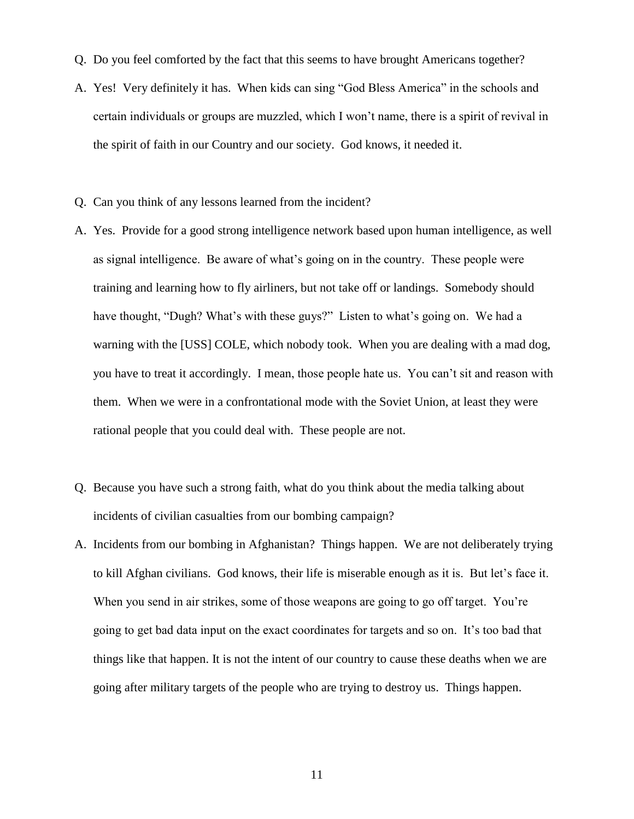- Q. Do you feel comforted by the fact that this seems to have brought Americans together?
- A. Yes! Very definitely it has. When kids can sing "God Bless America" in the schools and certain individuals or groups are muzzled, which I won't name, there is a spirit of revival in the spirit of faith in our Country and our society. God knows, it needed it.
- Q. Can you think of any lessons learned from the incident?
- A. Yes. Provide for a good strong intelligence network based upon human intelligence, as well as signal intelligence. Be aware of what's going on in the country. These people were training and learning how to fly airliners, but not take off or landings. Somebody should have thought, "Dugh? What's with these guys?" Listen to what's going on. We had a warning with the [USS] COLE, which nobody took. When you are dealing with a mad dog, you have to treat it accordingly. I mean, those people hate us. You can't sit and reason with them. When we were in a confrontational mode with the Soviet Union, at least they were rational people that you could deal with. These people are not.
- Q. Because you have such a strong faith, what do you think about the media talking about incidents of civilian casualties from our bombing campaign?
- A. Incidents from our bombing in Afghanistan? Things happen. We are not deliberately trying to kill Afghan civilians. God knows, their life is miserable enough as it is. But let's face it. When you send in air strikes, some of those weapons are going to go off target. You're going to get bad data input on the exact coordinates for targets and so on. It's too bad that things like that happen. It is not the intent of our country to cause these deaths when we are going after military targets of the people who are trying to destroy us. Things happen.

11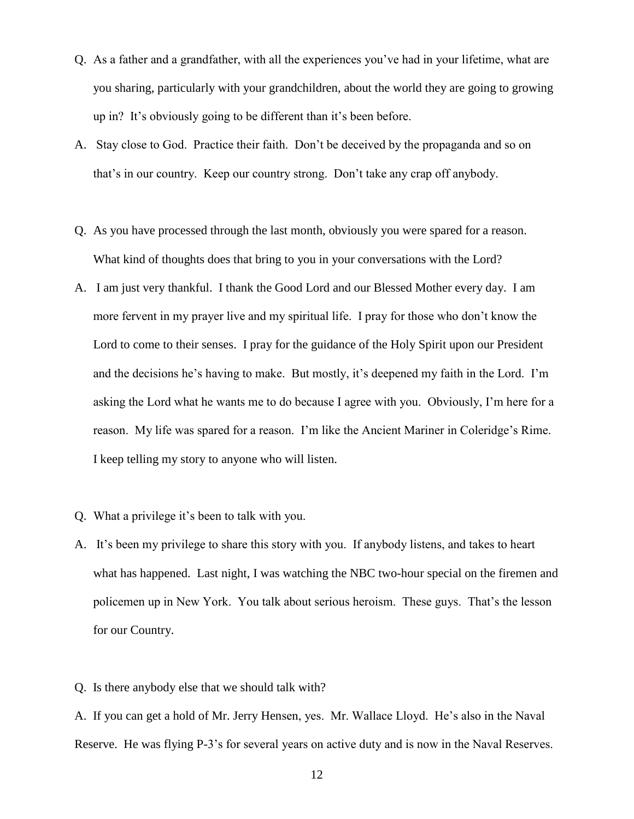- Q. As a father and a grandfather, with all the experiences you've had in your lifetime, what are you sharing, particularly with your grandchildren, about the world they are going to growing up in? It's obviously going to be different than it's been before.
- A. Stay close to God. Practice their faith. Don't be deceived by the propaganda and so on that's in our country. Keep our country strong. Don't take any crap off anybody.
- Q. As you have processed through the last month, obviously you were spared for a reason. What kind of thoughts does that bring to you in your conversations with the Lord?
- A. I am just very thankful. I thank the Good Lord and our Blessed Mother every day. I am more fervent in my prayer live and my spiritual life. I pray for those who don't know the Lord to come to their senses. I pray for the guidance of the Holy Spirit upon our President and the decisions he's having to make. But mostly, it's deepened my faith in the Lord. I'm asking the Lord what he wants me to do because I agree with you. Obviously, I'm here for a reason. My life was spared for a reason. I'm like the Ancient Mariner in Coleridge's Rime. I keep telling my story to anyone who will listen.
- Q. What a privilege it's been to talk with you.
- A. It's been my privilege to share this story with you. If anybody listens, and takes to heart what has happened. Last night, I was watching the NBC two-hour special on the firemen and policemen up in New York. You talk about serious heroism. These guys. That's the lesson for our Country.
- Q. Is there anybody else that we should talk with?

A. If you can get a hold of Mr. Jerry Hensen, yes. Mr. Wallace Lloyd. He's also in the Naval Reserve. He was flying P-3's for several years on active duty and is now in the Naval Reserves.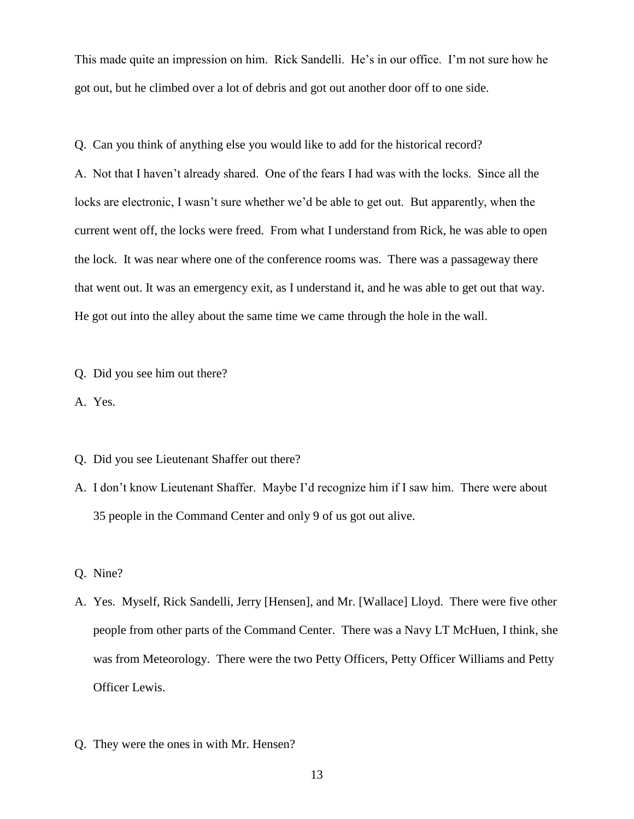This made quite an impression on him. Rick Sandelli. He's in our office. I'm not sure how he got out, but he climbed over a lot of debris and got out another door off to one side.

Q. Can you think of anything else you would like to add for the historical record? A. Not that I haven't already shared. One of the fears I had was with the locks. Since all the locks are electronic, I wasn't sure whether we'd be able to get out. But apparently, when the current went off, the locks were freed. From what I understand from Rick, he was able to open the lock. It was near where one of the conference rooms was. There was a passageway there that went out. It was an emergency exit, as I understand it, and he was able to get out that way. He got out into the alley about the same time we came through the hole in the wall.

Q. Did you see him out there?

A. Yes.

- Q. Did you see Lieutenant Shaffer out there?
- A. I don't know Lieutenant Shaffer. Maybe I'd recognize him if I saw him. There were about 35 people in the Command Center and only 9 of us got out alive.
- Q. Nine?
- A. Yes. Myself, Rick Sandelli, Jerry [Hensen], and Mr. [Wallace] Lloyd. There were five other people from other parts of the Command Center. There was a Navy LT McHuen, I think, she was from Meteorology. There were the two Petty Officers, Petty Officer Williams and Petty Officer Lewis.
- Q. They were the ones in with Mr. Hensen?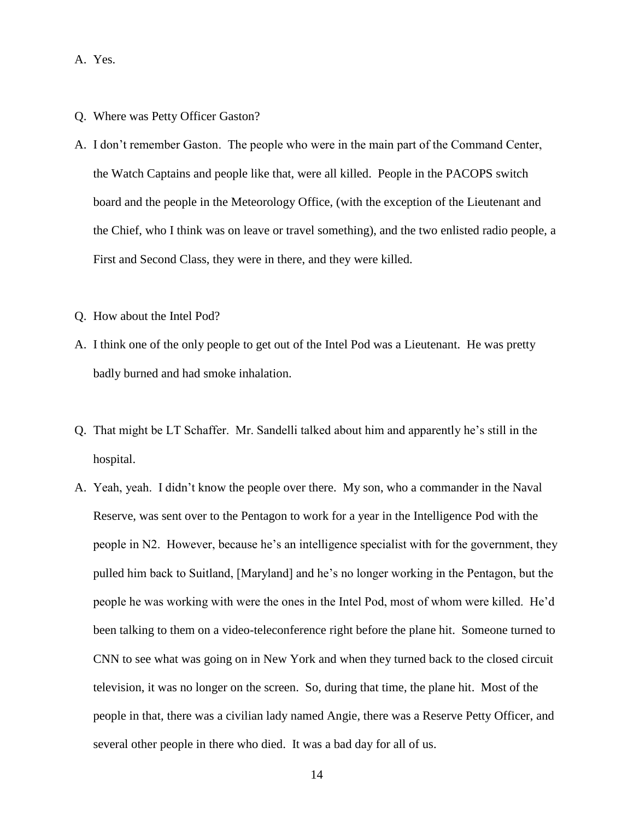- A. Yes.
- Q. Where was Petty Officer Gaston?
- A. I don't remember Gaston. The people who were in the main part of the Command Center, the Watch Captains and people like that, were all killed. People in the PACOPS switch board and the people in the Meteorology Office, (with the exception of the Lieutenant and the Chief, who I think was on leave or travel something), and the two enlisted radio people, a First and Second Class, they were in there, and they were killed.
- Q. How about the Intel Pod?
- A. I think one of the only people to get out of the Intel Pod was a Lieutenant. He was pretty badly burned and had smoke inhalation.
- Q. That might be LT Schaffer. Mr. Sandelli talked about him and apparently he's still in the hospital.
- A. Yeah, yeah. I didn't know the people over there. My son, who a commander in the Naval Reserve, was sent over to the Pentagon to work for a year in the Intelligence Pod with the people in N2. However, because he's an intelligence specialist with for the government, they pulled him back to Suitland, [Maryland] and he's no longer working in the Pentagon, but the people he was working with were the ones in the Intel Pod, most of whom were killed. He'd been talking to them on a video-teleconference right before the plane hit. Someone turned to CNN to see what was going on in New York and when they turned back to the closed circuit television, it was no longer on the screen. So, during that time, the plane hit. Most of the people in that, there was a civilian lady named Angie, there was a Reserve Petty Officer, and several other people in there who died. It was a bad day for all of us.